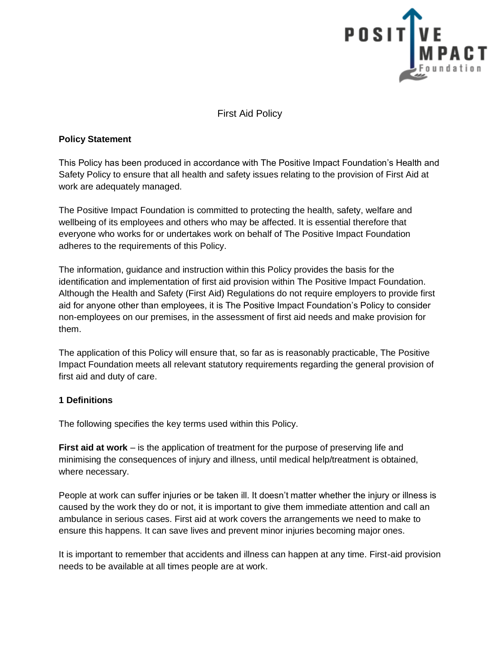

First Aid Policy

## **Policy Statement**

This Policy has been produced in accordance with The Positive Impact Foundation's Health and Safety Policy to ensure that all health and safety issues relating to the provision of First Aid at work are adequately managed.

The Positive Impact Foundation is committed to protecting the health, safety, welfare and wellbeing of its employees and others who may be affected. It is essential therefore that everyone who works for or undertakes work on behalf of The Positive Impact Foundation adheres to the requirements of this Policy.

The information, guidance and instruction within this Policy provides the basis for the identification and implementation of first aid provision within The Positive Impact Foundation. Although the Health and Safety (First Aid) Regulations do not require employers to provide first aid for anyone other than employees, it is The Positive Impact Foundation's Policy to consider non-employees on our premises, in the assessment of first aid needs and make provision for them.

The application of this Policy will ensure that, so far as is reasonably practicable, The Positive Impact Foundation meets all relevant statutory requirements regarding the general provision of first aid and duty of care.

# **1 Definitions**

The following specifies the key terms used within this Policy.

**First aid at work** – is the application of treatment for the purpose of preserving life and minimising the consequences of injury and illness, until medical help/treatment is obtained, where necessary.

People at work can suffer injuries or be taken ill. It doesn't matter whether the injury or illness is caused by the work they do or not, it is important to give them immediate attention and call an ambulance in serious cases. First aid at work covers the arrangements we need to make to ensure this happens. It can save lives and prevent minor injuries becoming major ones.

It is important to remember that accidents and illness can happen at any time. First-aid provision needs to be available at all times people are at work.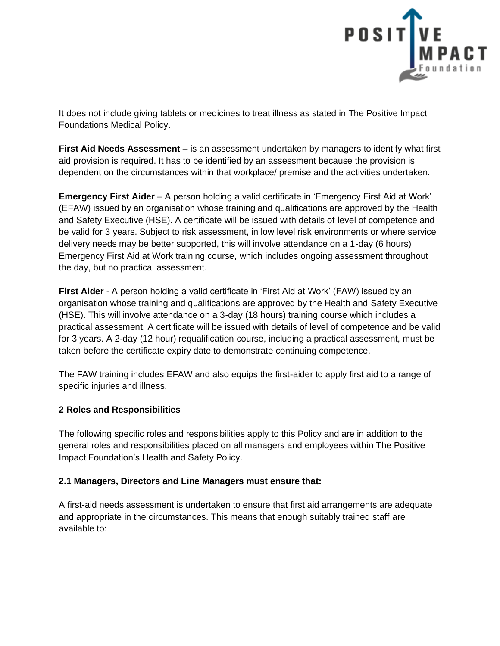

It does not include giving tablets or medicines to treat illness as stated in The Positive Impact Foundations Medical Policy.

**First Aid Needs Assessment –** is an assessment undertaken by managers to identify what first aid provision is required. It has to be identified by an assessment because the provision is dependent on the circumstances within that workplace/ premise and the activities undertaken.

**Emergency First Aider** – A person holding a valid certificate in 'Emergency First Aid at Work' (EFAW) issued by an organisation whose training and qualifications are approved by the Health and Safety Executive (HSE). A certificate will be issued with details of level of competence and be valid for 3 years. Subject to risk assessment, in low level risk environments or where service delivery needs may be better supported, this will involve attendance on a 1-day (6 hours) Emergency First Aid at Work training course, which includes ongoing assessment throughout the day, but no practical assessment.

**First Aider** - A person holding a valid certificate in 'First Aid at Work' (FAW) issued by an organisation whose training and qualifications are approved by the Health and Safety Executive (HSE). This will involve attendance on a 3-day (18 hours) training course which includes a practical assessment. A certificate will be issued with details of level of competence and be valid for 3 years. A 2-day (12 hour) requalification course, including a practical assessment, must be taken before the certificate expiry date to demonstrate continuing competence.

The FAW training includes EFAW and also equips the first-aider to apply first aid to a range of specific injuries and illness.

# **2 Roles and Responsibilities**

The following specific roles and responsibilities apply to this Policy and are in addition to the general roles and responsibilities placed on all managers and employees within The Positive Impact Foundation's Health and Safety Policy.

# **2.1 Managers, Directors and Line Managers must ensure that:**

A first-aid needs assessment is undertaken to ensure that first aid arrangements are adequate and appropriate in the circumstances. This means that enough suitably trained staff are available to: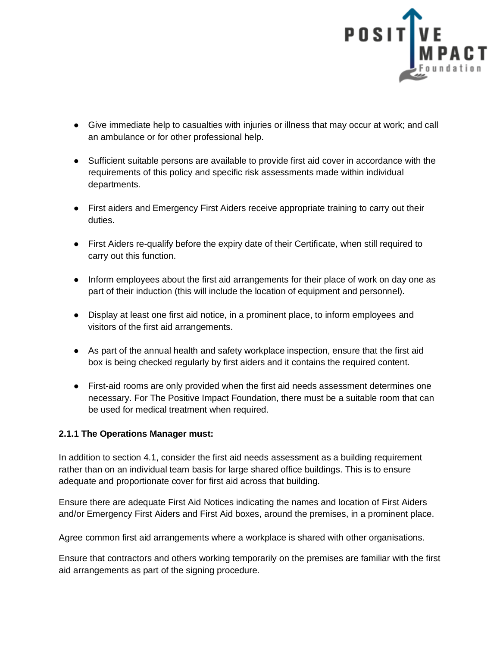

- Give immediate help to casualties with injuries or illness that may occur at work; and call an ambulance or for other professional help.
- Sufficient suitable persons are available to provide first aid cover in accordance with the requirements of this policy and specific risk assessments made within individual departments.
- First aiders and Emergency First Aiders receive appropriate training to carry out their duties.
- First Aiders re-qualify before the expiry date of their Certificate, when still required to carry out this function.
- Inform employees about the first aid arrangements for their place of work on day one as part of their induction (this will include the location of equipment and personnel).
- Display at least one first aid notice, in a prominent place, to inform employees and visitors of the first aid arrangements.
- As part of the annual health and safety workplace inspection, ensure that the first aid box is being checked regularly by first aiders and it contains the required content.
- First-aid rooms are only provided when the first aid needs assessment determines one necessary. For The Positive Impact Foundation, there must be a suitable room that can be used for medical treatment when required.

# **2.1.1 The Operations Manager must:**

In addition to section 4.1, consider the first aid needs assessment as a building requirement rather than on an individual team basis for large shared office buildings. This is to ensure adequate and proportionate cover for first aid across that building.

Ensure there are adequate First Aid Notices indicating the names and location of First Aiders and/or Emergency First Aiders and First Aid boxes, around the premises, in a prominent place.

Agree common first aid arrangements where a workplace is shared with other organisations.

Ensure that contractors and others working temporarily on the premises are familiar with the first aid arrangements as part of the signing procedure.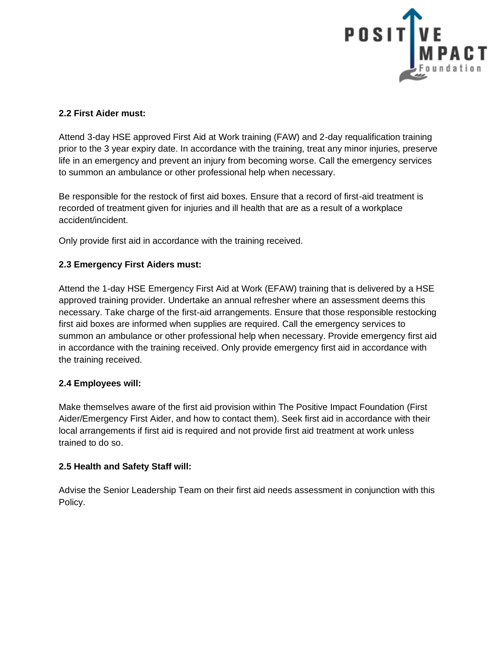

## **2.2 First Aider must:**

Attend 3-day HSE approved First Aid at Work training (FAW) and 2-day requalification training prior to the 3 year expiry date. In accordance with the training, treat any minor injuries, preserve life in an emergency and prevent an injury from becoming worse. Call the emergency services to summon an ambulance or other professional help when necessary.

Be responsible for the restock of first aid boxes. Ensure that a record of first-aid treatment is recorded of treatment given for injuries and ill health that are as a result of a workplace accident/incident.

Only provide first aid in accordance with the training received.

# **2.3 Emergency First Aiders must:**

Attend the 1-day HSE Emergency First Aid at Work (EFAW) training that is delivered by a HSE approved training provider. Undertake an annual refresher where an assessment deems this necessary. Take charge of the first-aid arrangements. Ensure that those responsible restocking first aid boxes are informed when supplies are required. Call the emergency services to summon an ambulance or other professional help when necessary. Provide emergency first aid in accordance with the training received. Only provide emergency first aid in accordance with the training received.

### **2.4 Employees will:**

Make themselves aware of the first aid provision within The Positive Impact Foundation (First Aider/Emergency First Aider, and how to contact them). Seek first aid in accordance with their local arrangements if first aid is required and not provide first aid treatment at work unless trained to do so.

### **2.5 Health and Safety Staff will:**

Advise the Senior Leadership Team on their first aid needs assessment in conjunction with this Policy.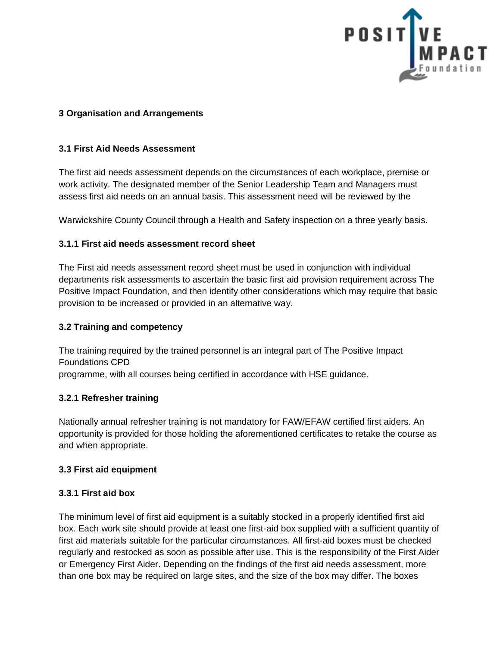

### **3 Organisation and Arrangements**

### **3.1 First Aid Needs Assessment**

The first aid needs assessment depends on the circumstances of each workplace, premise or work activity. The designated member of the Senior Leadership Team and Managers must assess first aid needs on an annual basis. This assessment need will be reviewed by the

Warwickshire County Council through a Health and Safety inspection on a three yearly basis.

## **3.1.1 First aid needs assessment record sheet**

The First aid needs assessment record sheet must be used in conjunction with individual departments risk assessments to ascertain the basic first aid provision requirement across The Positive Impact Foundation, and then identify other considerations which may require that basic provision to be increased or provided in an alternative way.

### **3.2 Training and competency**

The training required by the trained personnel is an integral part of The Positive Impact Foundations CPD programme, with all courses being certified in accordance with HSE guidance.

### **3.2.1 Refresher training**

Nationally annual refresher training is not mandatory for FAW/EFAW certified first aiders. An opportunity is provided for those holding the aforementioned certificates to retake the course as and when appropriate.

### **3.3 First aid equipment**

### **3.3.1 First aid box**

The minimum level of first aid equipment is a suitably stocked in a properly identified first aid box. Each work site should provide at least one first-aid box supplied with a sufficient quantity of first aid materials suitable for the particular circumstances. All first-aid boxes must be checked regularly and restocked as soon as possible after use. This is the responsibility of the First Aider or Emergency First Aider. Depending on the findings of the first aid needs assessment, more than one box may be required on large sites, and the size of the box may differ. The boxes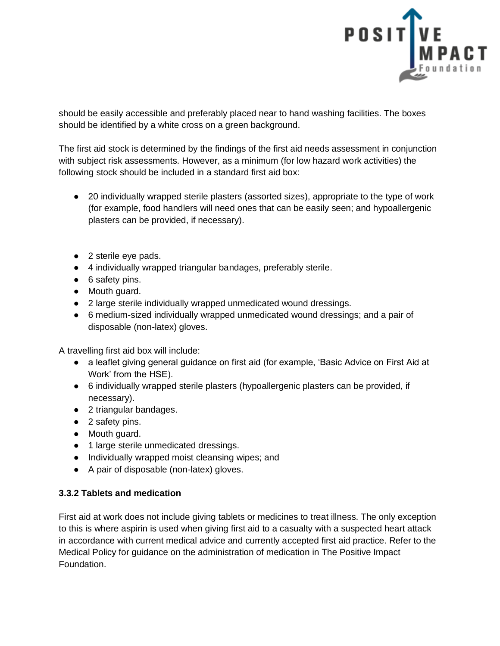

should be easily accessible and preferably placed near to hand washing facilities. The boxes should be identified by a white cross on a green background.

The first aid stock is determined by the findings of the first aid needs assessment in conjunction with subject risk assessments. However, as a minimum (for low hazard work activities) the following stock should be included in a standard first aid box:

- 20 individually wrapped sterile plasters (assorted sizes), appropriate to the type of work (for example, food handlers will need ones that can be easily seen; and hypoallergenic plasters can be provided, if necessary).
- 2 sterile eye pads.
- 4 individually wrapped triangular bandages, preferably sterile.
- 6 safety pins.
- Mouth guard.
- 2 large sterile individually wrapped unmedicated wound dressings.
- 6 medium-sized individually wrapped unmedicated wound dressings; and a pair of disposable (non-latex) gloves.

A travelling first aid box will include:

- a leaflet giving general guidance on first aid (for example, 'Basic Advice on First Aid at Work' from the HSE).
- 6 individually wrapped sterile plasters (hypoallergenic plasters can be provided, if necessary).
- 2 triangular bandages.
- 2 safety pins.
- Mouth guard.
- 1 large sterile unmedicated dressings.
- Individually wrapped moist cleansing wipes; and
- A pair of disposable (non-latex) gloves.

# **3.3.2 Tablets and medication**

First aid at work does not include giving tablets or medicines to treat illness. The only exception to this is where aspirin is used when giving first aid to a casualty with a suspected heart attack in accordance with current medical advice and currently accepted first aid practice. Refer to the Medical Policy for guidance on the administration of medication in The Positive Impact Foundation.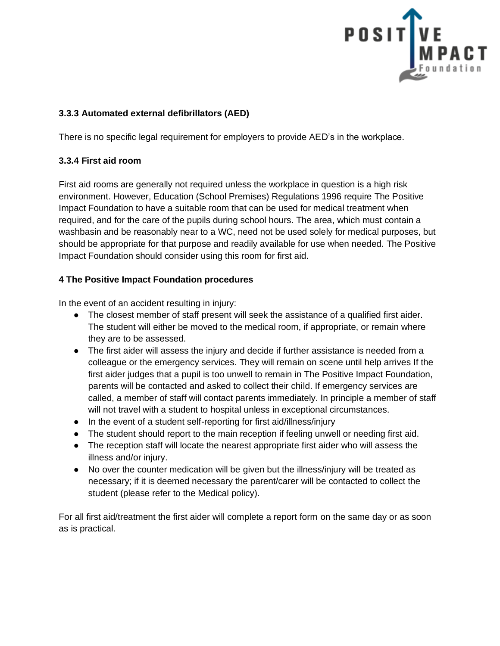

## **3.3.3 Automated external defibrillators (AED)**

There is no specific legal requirement for employers to provide AED's in the workplace.

## **3.3.4 First aid room**

First aid rooms are generally not required unless the workplace in question is a high risk environment. However, Education (School Premises) Regulations 1996 require The Positive Impact Foundation to have a suitable room that can be used for medical treatment when required, and for the care of the pupils during school hours. The area, which must contain a washbasin and be reasonably near to a WC, need not be used solely for medical purposes, but should be appropriate for that purpose and readily available for use when needed. The Positive Impact Foundation should consider using this room for first aid.

## **4 The Positive Impact Foundation procedures**

In the event of an accident resulting in injury:

- The closest member of staff present will seek the assistance of a qualified first aider. The student will either be moved to the medical room, if appropriate, or remain where they are to be assessed.
- The first aider will assess the injury and decide if further assistance is needed from a colleague or the emergency services. They will remain on scene until help arrives If the first aider judges that a pupil is too unwell to remain in The Positive Impact Foundation, parents will be contacted and asked to collect their child. If emergency services are called, a member of staff will contact parents immediately. In principle a member of staff will not travel with a student to hospital unless in exceptional circumstances.
- In the event of a student self-reporting for first aid/illness/injury
- The student should report to the main reception if feeling unwell or needing first aid.
- The reception staff will locate the nearest appropriate first aider who will assess the illness and/or injury.
- No over the counter medication will be given but the illness/injury will be treated as necessary; if it is deemed necessary the parent/carer will be contacted to collect the student (please refer to the Medical policy).

For all first aid/treatment the first aider will complete a report form on the same day or as soon as is practical.